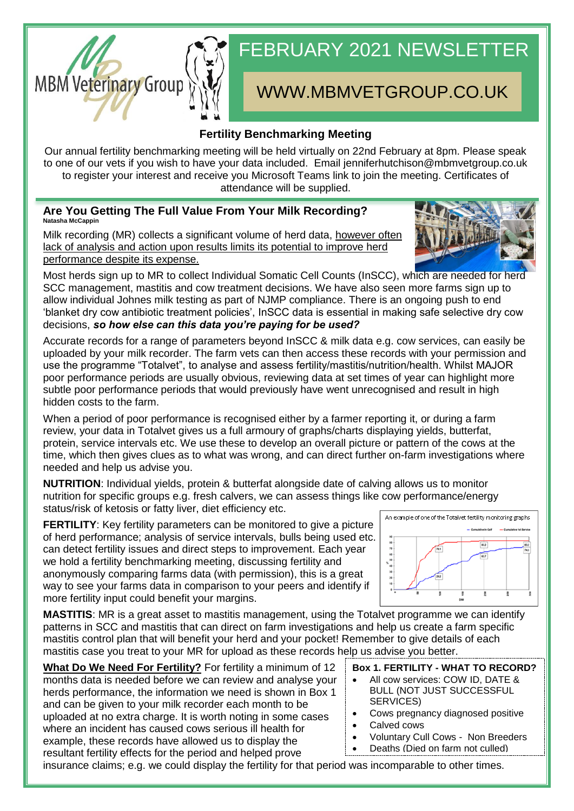# FEBRUARY 2021 NEWSLETTER

# WWW.MBMVETGROUP.CO.UK

### **Fertility Benchmarking Meeting**

Our annual fertility benchmarking meeting will be held virtually on 22nd February at 8pm. Please speak to one of our vets if you wish to have your data included. Email jenniferhutchison@mbmvetgroup.co.uk to register your interest and receive you Microsoft Teams link to join the meeting. Certificates of attendance will be supplied.

#### **Are You Getting The Full Value From Your Milk Recording? Natasha McCappin**

Milk recording (MR) collects a significant volume of herd data, however often lack of analysis and action upon results limits its potential to improve herd performance despite its expense.

Most herds sign up to MR to collect Individual Somatic Cell Counts (InSCC), which are needed for herd SCC management, mastitis and cow treatment decisions. We have also seen more farms sign up to allow individual Johnes milk testing as part of NJMP compliance. There is an ongoing push to end 'blanket dry cow antibiotic treatment policies', InSCC data is essential in making safe selective dry cow decisions, *so how else can this data you're paying for be used?*

Accurate records for a range of parameters beyond InSCC & milk data e.g. cow services, can easily be uploaded by your milk recorder. The farm vets can then access these records with your permission and use the programme "Totalvet", to analyse and assess fertility/mastitis/nutrition/health. Whilst MAJOR poor performance periods are usually obvious, reviewing data at set times of year can highlight more subtle poor performance periods that would previously have went unrecognised and result in high hidden costs to the farm.

When a period of poor performance is recognised either by a farmer reporting it, or during a farm review, your data in Totalvet gives us a full armoury of graphs/charts displaying yields, butterfat, protein, service intervals etc. We use these to develop an overall picture or pattern of the cows at the time, which then gives clues as to what was wrong, and can direct further on-farm investigations where needed and help us advise you.

**NUTRITION**: Individual yields, protein & butterfat alongside date of calving allows us to monitor nutrition for specific groups e.g. fresh calvers, we can assess things like cow performance/energy status/risk of ketosis or fatty liver, diet efficiency etc.

**FERTILITY:** Key fertility parameters can be monitored to give a picture of herd performance; analysis of service intervals, bulls being used etc. can detect fertility issues and direct steps to improvement. Each year we hold a fertility benchmarking meeting, discussing fertility and anonymously comparing farms data (with permission), this is a great way to see your farms data in comparison to your peers and identify if more fertility input could benefit your margins.

**MASTITIS**: MR is a great asset to mastitis management, using the Totalvet programme we can identify patterns in SCC and mastitis that can direct on farm investigations and help us create a farm specific mastitis control plan that will benefit your herd and your pocket! Remember to give details of each mastitis case you treat to your MR for upload as these records help us advise you better.

**What Do We Need For Fertility?** For fertility a minimum of 12 months data is needed before we can review and analyse your herds performance, the information we need is shown in Box 1 and can be given to your milk recorder each month to be uploaded at no extra charge. It is worth noting in some cases where an incident has caused cows serious ill health for example, these records have allowed us to display the resultant fertility effects for the period and helped prove

#### **Box 1. FERTILITY - WHAT TO RECORD?**

- All cow services: COW ID, DATE & BULL (NOT JUST SUCCESSFUL SERVICES)
- Cows pregnancy diagnosed positive
- Calved cows
- Voluntary Cull Cows Non Breeders
- Deaths (Died on farm not culled)

insurance claims; e.g. we could display the fertility for that period was incomparable to other times.